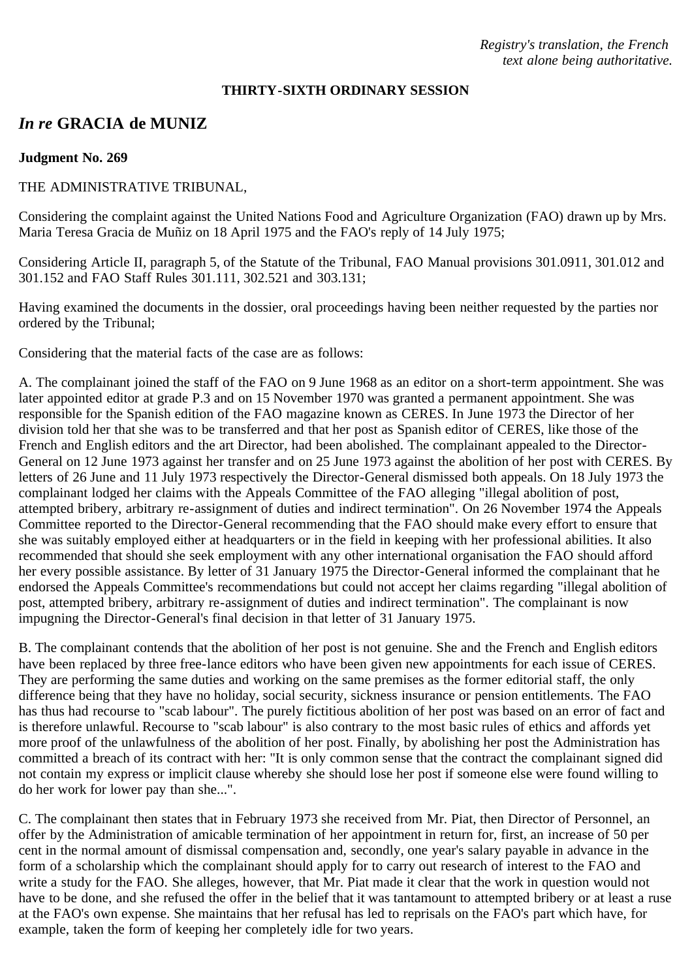*Registry's translation, the French text alone being authoritative.*

#### **THIRTY-SIXTH ORDINARY SESSION**

# *In re* **GRACIA de MUNIZ**

#### **Judgment No. 269**

### THE ADMINISTRATIVE TRIBUNAL,

Considering the complaint against the United Nations Food and Agriculture Organization (FAO) drawn up by Mrs. Maria Teresa Gracia de Muñiz on 18 April 1975 and the FAO's reply of 14 July 1975;

Considering Article II, paragraph 5, of the Statute of the Tribunal, FAO Manual provisions 301.0911, 301.012 and 301.152 and FAO Staff Rules 301.111, 302.521 and 303.131;

Having examined the documents in the dossier, oral proceedings having been neither requested by the parties nor ordered by the Tribunal;

Considering that the material facts of the case are as follows:

A. The complainant joined the staff of the FAO on 9 June 1968 as an editor on a short-term appointment. She was later appointed editor at grade P.3 and on 15 November 1970 was granted a permanent appointment. She was responsible for the Spanish edition of the FAO magazine known as CERES. In June 1973 the Director of her division told her that she was to be transferred and that her post as Spanish editor of CERES, like those of the French and English editors and the art Director, had been abolished. The complainant appealed to the Director-General on 12 June 1973 against her transfer and on 25 June 1973 against the abolition of her post with CERES. By letters of 26 June and 11 July 1973 respectively the Director-General dismissed both appeals. On 18 July 1973 the complainant lodged her claims with the Appeals Committee of the FAO alleging "illegal abolition of post, attempted bribery, arbitrary re-assignment of duties and indirect termination". On 26 November 1974 the Appeals Committee reported to the Director-General recommending that the FAO should make every effort to ensure that she was suitably employed either at headquarters or in the field in keeping with her professional abilities. It also recommended that should she seek employment with any other international organisation the FAO should afford her every possible assistance. By letter of 31 January 1975 the Director-General informed the complainant that he endorsed the Appeals Committee's recommendations but could not accept her claims regarding "illegal abolition of post, attempted bribery, arbitrary re-assignment of duties and indirect termination". The complainant is now impugning the Director-General's final decision in that letter of 31 January 1975.

B. The complainant contends that the abolition of her post is not genuine. She and the French and English editors have been replaced by three free-lance editors who have been given new appointments for each issue of CERES. They are performing the same duties and working on the same premises as the former editorial staff, the only difference being that they have no holiday, social security, sickness insurance or pension entitlements. The FAO has thus had recourse to "scab labour". The purely fictitious abolition of her post was based on an error of fact and is therefore unlawful. Recourse to "scab labour" is also contrary to the most basic rules of ethics and affords yet more proof of the unlawfulness of the abolition of her post. Finally, by abolishing her post the Administration has committed a breach of its contract with her: "It is only common sense that the contract the complainant signed did not contain my express or implicit clause whereby she should lose her post if someone else were found willing to do her work for lower pay than she...".

C. The complainant then states that in February 1973 she received from Mr. Piat, then Director of Personnel, an offer by the Administration of amicable termination of her appointment in return for, first, an increase of 50 per cent in the normal amount of dismissal compensation and, secondly, one year's salary payable in advance in the form of a scholarship which the complainant should apply for to carry out research of interest to the FAO and write a study for the FAO. She alleges, however, that Mr. Piat made it clear that the work in question would not have to be done, and she refused the offer in the belief that it was tantamount to attempted bribery or at least a ruse at the FAO's own expense. She maintains that her refusal has led to reprisals on the FAO's part which have, for example, taken the form of keeping her completely idle for two years.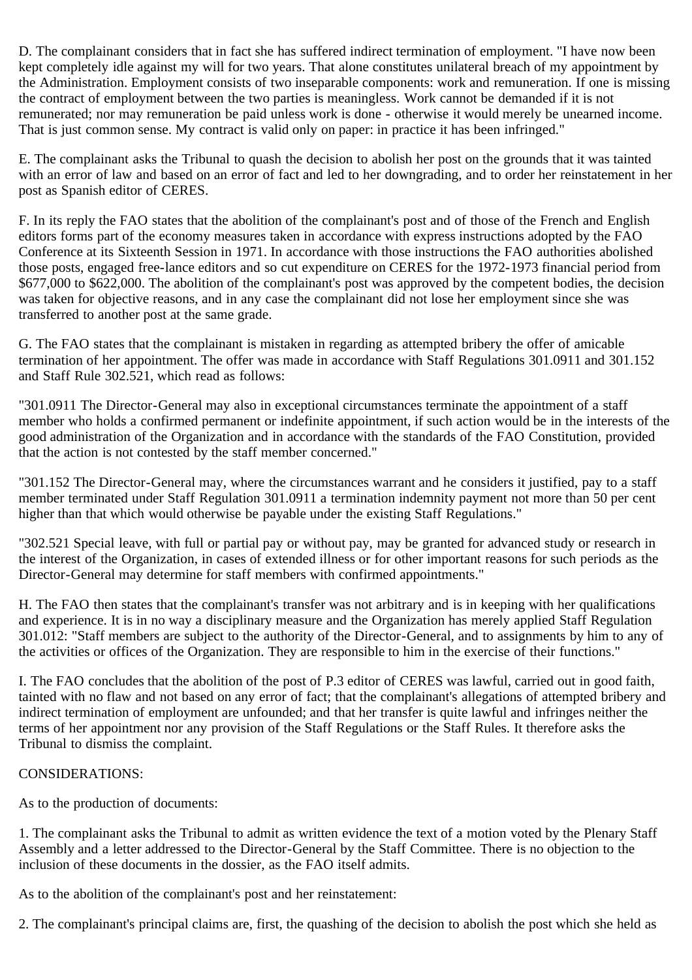D. The complainant considers that in fact she has suffered indirect termination of employment. "I have now been kept completely idle against my will for two years. That alone constitutes unilateral breach of my appointment by the Administration. Employment consists of two inseparable components: work and remuneration. If one is missing the contract of employment between the two parties is meaningless. Work cannot be demanded if it is not remunerated; nor may remuneration be paid unless work is done - otherwise it would merely be unearned income. That is just common sense. My contract is valid only on paper: in practice it has been infringed."

E. The complainant asks the Tribunal to quash the decision to abolish her post on the grounds that it was tainted with an error of law and based on an error of fact and led to her downgrading, and to order her reinstatement in her post as Spanish editor of CERES.

F. In its reply the FAO states that the abolition of the complainant's post and of those of the French and English editors forms part of the economy measures taken in accordance with express instructions adopted by the FAO Conference at its Sixteenth Session in 1971. In accordance with those instructions the FAO authorities abolished those posts, engaged free-lance editors and so cut expenditure on CERES for the 1972-1973 financial period from \$677,000 to \$622,000. The abolition of the complainant's post was approved by the competent bodies, the decision was taken for objective reasons, and in any case the complainant did not lose her employment since she was transferred to another post at the same grade.

G. The FAO states that the complainant is mistaken in regarding as attempted bribery the offer of amicable termination of her appointment. The offer was made in accordance with Staff Regulations 301.0911 and 301.152 and Staff Rule 302.521, which read as follows:

"301.0911 The Director-General may also in exceptional circumstances terminate the appointment of a staff member who holds a confirmed permanent or indefinite appointment, if such action would be in the interests of the good administration of the Organization and in accordance with the standards of the FAO Constitution, provided that the action is not contested by the staff member concerned."

"301.152 The Director-General may, where the circumstances warrant and he considers it justified, pay to a staff member terminated under Staff Regulation 301.0911 a termination indemnity payment not more than 50 per cent higher than that which would otherwise be payable under the existing Staff Regulations."

"302.521 Special leave, with full or partial pay or without pay, may be granted for advanced study or research in the interest of the Organization, in cases of extended illness or for other important reasons for such periods as the Director-General may determine for staff members with confirmed appointments."

H. The FAO then states that the complainant's transfer was not arbitrary and is in keeping with her qualifications and experience. It is in no way a disciplinary measure and the Organization has merely applied Staff Regulation 301.012: "Staff members are subject to the authority of the Director-General, and to assignments by him to any of the activities or offices of the Organization. They are responsible to him in the exercise of their functions."

I. The FAO concludes that the abolition of the post of P.3 editor of CERES was lawful, carried out in good faith, tainted with no flaw and not based on any error of fact; that the complainant's allegations of attempted bribery and indirect termination of employment are unfounded; and that her transfer is quite lawful and infringes neither the terms of her appointment nor any provision of the Staff Regulations or the Staff Rules. It therefore asks the Tribunal to dismiss the complaint.

## CONSIDERATIONS:

As to the production of documents:

1. The complainant asks the Tribunal to admit as written evidence the text of a motion voted by the Plenary Staff Assembly and a letter addressed to the Director-General by the Staff Committee. There is no objection to the inclusion of these documents in the dossier, as the FAO itself admits.

As to the abolition of the complainant's post and her reinstatement:

2. The complainant's principal claims are, first, the quashing of the decision to abolish the post which she held as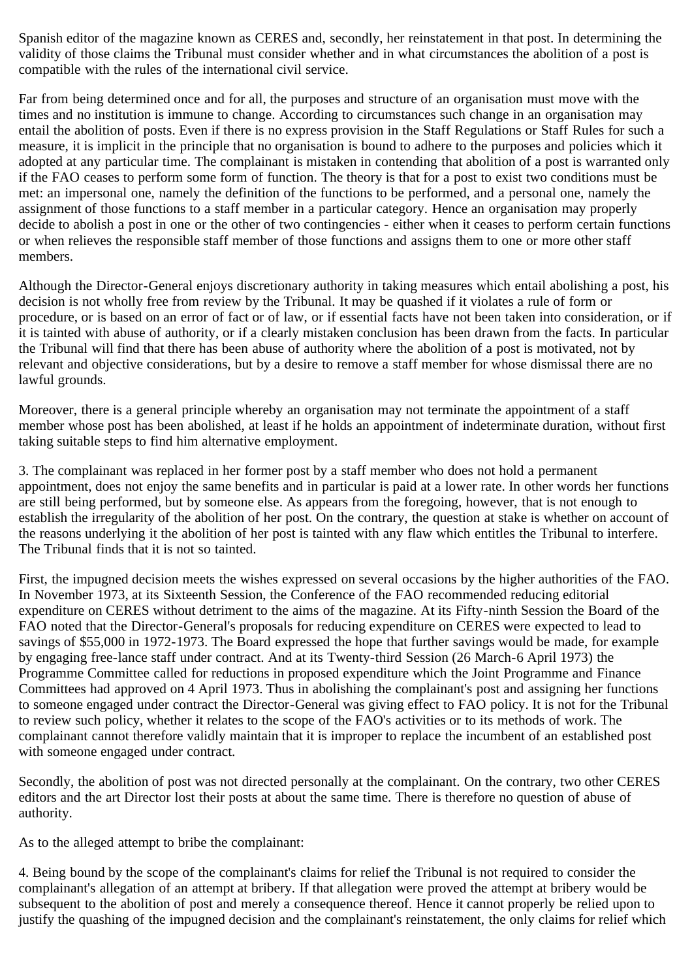Spanish editor of the magazine known as CERES and, secondly, her reinstatement in that post. In determining the validity of those claims the Tribunal must consider whether and in what circumstances the abolition of a post is compatible with the rules of the international civil service.

Far from being determined once and for all, the purposes and structure of an organisation must move with the times and no institution is immune to change. According to circumstances such change in an organisation may entail the abolition of posts. Even if there is no express provision in the Staff Regulations or Staff Rules for such a measure, it is implicit in the principle that no organisation is bound to adhere to the purposes and policies which it adopted at any particular time. The complainant is mistaken in contending that abolition of a post is warranted only if the FAO ceases to perform some form of function. The theory is that for a post to exist two conditions must be met: an impersonal one, namely the definition of the functions to be performed, and a personal one, namely the assignment of those functions to a staff member in a particular category. Hence an organisation may properly decide to abolish a post in one or the other of two contingencies - either when it ceases to perform certain functions or when relieves the responsible staff member of those functions and assigns them to one or more other staff members.

Although the Director-General enjoys discretionary authority in taking measures which entail abolishing a post, his decision is not wholly free from review by the Tribunal. It may be quashed if it violates a rule of form or procedure, or is based on an error of fact or of law, or if essential facts have not been taken into consideration, or if it is tainted with abuse of authority, or if a clearly mistaken conclusion has been drawn from the facts. In particular the Tribunal will find that there has been abuse of authority where the abolition of a post is motivated, not by relevant and objective considerations, but by a desire to remove a staff member for whose dismissal there are no lawful grounds.

Moreover, there is a general principle whereby an organisation may not terminate the appointment of a staff member whose post has been abolished, at least if he holds an appointment of indeterminate duration, without first taking suitable steps to find him alternative employment.

3. The complainant was replaced in her former post by a staff member who does not hold a permanent appointment, does not enjoy the same benefits and in particular is paid at a lower rate. In other words her functions are still being performed, but by someone else. As appears from the foregoing, however, that is not enough to establish the irregularity of the abolition of her post. On the contrary, the question at stake is whether on account of the reasons underlying it the abolition of her post is tainted with any flaw which entitles the Tribunal to interfere. The Tribunal finds that it is not so tainted.

First, the impugned decision meets the wishes expressed on several occasions by the higher authorities of the FAO. In November 1973, at its Sixteenth Session, the Conference of the FAO recommended reducing editorial expenditure on CERES without detriment to the aims of the magazine. At its Fifty-ninth Session the Board of the FAO noted that the Director-General's proposals for reducing expenditure on CERES were expected to lead to savings of \$55,000 in 1972-1973. The Board expressed the hope that further savings would be made, for example by engaging free-lance staff under contract. And at its Twenty-third Session (26 March-6 April 1973) the Programme Committee called for reductions in proposed expenditure which the Joint Programme and Finance Committees had approved on 4 April 1973. Thus in abolishing the complainant's post and assigning her functions to someone engaged under contract the Director-General was giving effect to FAO policy. It is not for the Tribunal to review such policy, whether it relates to the scope of the FAO's activities or to its methods of work. The complainant cannot therefore validly maintain that it is improper to replace the incumbent of an established post with someone engaged under contract.

Secondly, the abolition of post was not directed personally at the complainant. On the contrary, two other CERES editors and the art Director lost their posts at about the same time. There is therefore no question of abuse of authority.

As to the alleged attempt to bribe the complainant:

4. Being bound by the scope of the complainant's claims for relief the Tribunal is not required to consider the complainant's allegation of an attempt at bribery. If that allegation were proved the attempt at bribery would be subsequent to the abolition of post and merely a consequence thereof. Hence it cannot properly be relied upon to justify the quashing of the impugned decision and the complainant's reinstatement, the only claims for relief which